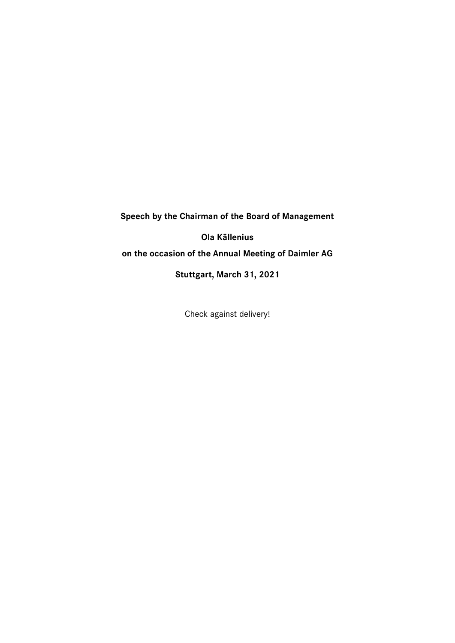**Speech by the Chairman of the Board of Management**

**Ola Källenius**

**on the occasion of the Annual Meeting of Daimler AG**

**Stuttgart, March 31, 2021**

Check against delivery!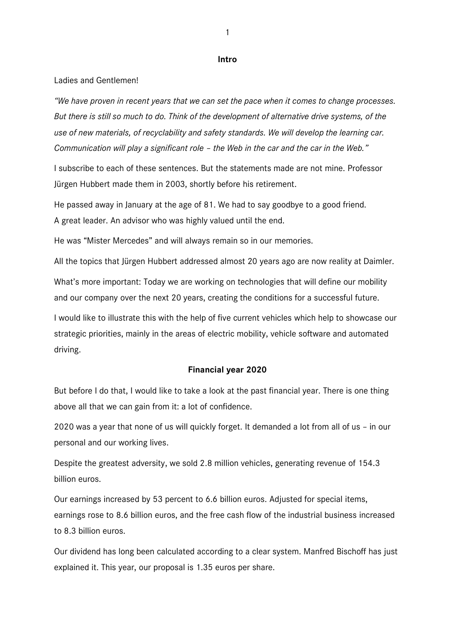#### **Intro**

#### Ladies and Gentlemen!

*"We have proven in recent years that we can set the pace when it comes to change processes. But there is still so much to do. Think of the development of alternative drive systems, of the use of new materials, of recyclability and safety standards. We will develop the learning car. Communication will play a significant role – the Web in the car and the car in the Web."* 

I subscribe to each of these sentences. But the statements made are not mine. Professor Jürgen Hubbert made them in 2003, shortly before his retirement.

He passed away in January at the age of 81. We had to say goodbye to a good friend. A great leader. An advisor who was highly valued until the end.

He was "Mister Mercedes" and will always remain so in our memories.

All the topics that Jürgen Hubbert addressed almost 20 years ago are now reality at Daimler.

What's more important: Today we are working on technologies that will define our mobility and our company over the next 20 years, creating the conditions for a successful future.

I would like to illustrate this with the help of five current vehicles which help to showcase our strategic priorities, mainly in the areas of electric mobility, vehicle software and automated driving.

#### **Financial year 2020**

But before I do that, I would like to take a look at the past financial year. There is one thing above all that we can gain from it: a lot of confidence.

2020 was a year that none of us will quickly forget. It demanded a lot from all of us – in our personal and our working lives.

Despite the greatest adversity, we sold 2.8 million vehicles, generating revenue of 154.3 billion euros.

Our earnings increased by 53 percent to 6.6 billion euros. Adjusted for special items, earnings rose to 8.6 billion euros, and the free cash flow of the industrial business increased to 8.3 billion euros.

Our dividend has long been calculated according to a clear system. Manfred Bischoff has just explained it. This year, our proposal is 1.35 euros per share.

1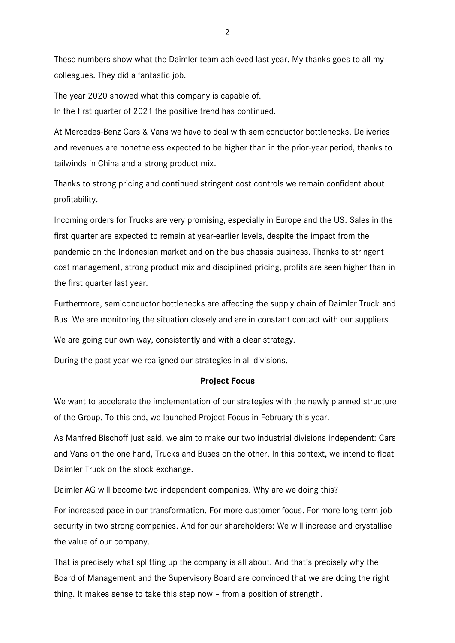These numbers show what the Daimler team achieved last year. My thanks goes to all my colleagues. They did a fantastic job.

The year 2020 showed what this company is capable of. In the first quarter of 2021 the positive trend has continued.

At Mercedes-Benz Cars & Vans we have to deal with semiconductor bottlenecks. Deliveries and revenues are nonetheless expected to be higher than in the prior-year period, thanks to tailwinds in China and a strong product mix.

Thanks to strong pricing and continued stringent cost controls we remain confident about profitability.

Incoming orders for Trucks are very promising, especially in Europe and the US. Sales in the first quarter are expected to remain at year-earlier levels, despite the impact from the pandemic on the Indonesian market and on the bus chassis business. Thanks to stringent cost management, strong product mix and disciplined pricing, profits are seen higher than in the first quarter last year.

Furthermore, semiconductor bottlenecks are affecting the supply chain of Daimler Truck and Bus. We are monitoring the situation closely and are in constant contact with our suppliers.

We are going our own way, consistently and with a clear strategy.

During the past year we realigned our strategies in all divisions.

# **Project Focus**

We want to accelerate the implementation of our strategies with the newly planned structure of the Group. To this end, we launched Project Focus in February this year.

As Manfred Bischoff just said, we aim to make our two industrial divisions independent: Cars and Vans on the one hand, Trucks and Buses on the other. In this context, we intend to float Daimler Truck on the stock exchange.

Daimler AG will become two independent companies. Why are we doing this?

For increased pace in our transformation. For more customer focus. For more long-term job security in two strong companies. And for our shareholders: We will increase and crystallise the value of our company.

That is precisely what splitting up the company is all about. And that's precisely why the Board of Management and the Supervisory Board are convinced that we are doing the right thing. It makes sense to take this step now – from a position of strength.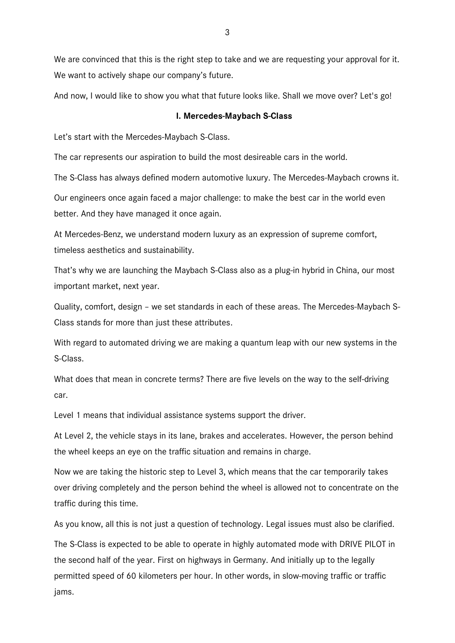We are convinced that this is the right step to take and we are requesting your approval for it. We want to actively shape our company's future.

And now, I would like to show you what that future looks like. Shall we move over? Let's go!

#### **I. Mercedes-Maybach S-Class**

Let's start with the Mercedes-Maybach S-Class.

The car represents our aspiration to build the most desireable cars in the world.

The S-Class has always defined modern automotive luxury. The Mercedes-Maybach crowns it.

Our engineers once again faced a major challenge: to make the best car in the world even better. And they have managed it once again.

At Mercedes-Benz, we understand modern luxury as an expression of supreme comfort, timeless aesthetics and sustainability.

That's why we are launching the Maybach S-Class also as a plug-in hybrid in China, our most important market, next year.

Quality, comfort, design – we set standards in each of these areas. The Mercedes-Maybach S-Class stands for more than just these attributes.

With regard to automated driving we are making a quantum leap with our new systems in the S-Class.

What does that mean in concrete terms? There are five levels on the way to the self-driving car.

Level 1 means that individual assistance systems support the driver.

At Level 2, the vehicle stays in its lane, brakes and accelerates. However, the person behind the wheel keeps an eye on the traffic situation and remains in charge.

Now we are taking the historic step to Level 3, which means that the car temporarily takes over driving completely and the person behind the wheel is allowed not to concentrate on the traffic during this time.

As you know, all this is not just a question of technology. Legal issues must also be clarified.

The S-Class is expected to be able to operate in highly automated mode with DRIVE PILOT in the second half of the year. First on highways in Germany. And initially up to the legally permitted speed of 60 kilometers per hour. In other words, in slow-moving traffic or traffic jams.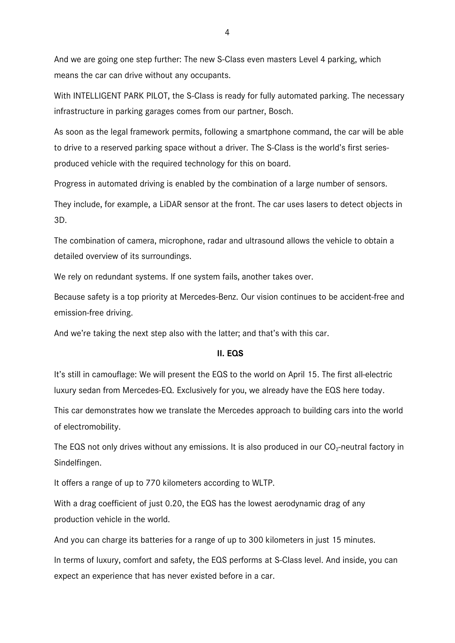And we are going one step further: The new S-Class even masters Level 4 parking, which means the car can drive without any occupants.

With INTELLIGENT PARK PILOT, the S-Class is ready for fully automated parking. The necessary infrastructure in parking garages comes from our partner, Bosch.

As soon as the legal framework permits, following a smartphone command, the car will be able to drive to a reserved parking space without a driver. The S-Class is the world's first seriesproduced vehicle with the required technology for this on board.

Progress in automated driving is enabled by the combination of a large number of sensors.

They include, for example, a LiDAR sensor at the front. The car uses lasers to detect objects in 3D.

The combination of camera, microphone, radar and ultrasound allows the vehicle to obtain a detailed overview of its surroundings.

We rely on redundant systems. If one system fails, another takes over.

Because safety is a top priority at Mercedes-Benz. Our vision continues to be accident-free and emission-free driving.

And we're taking the next step also with the latter; and that's with this car.

# **II. EQS**

It's still in camouflage: We will present the EQS to the world on April 15. The first all-electric luxury sedan from Mercedes-EQ. Exclusively for you, we already have the EQS here today.

This car demonstrates how we translate the Mercedes approach to building cars into the world of electromobility.

The EQS not only drives without any emissions. It is also produced in our  $CO<sub>2</sub>$ -neutral factory in Sindelfingen.

It offers a range of up to 770 kilometers according to WLTP.

With a drag coefficient of just 0.20, the EQS has the lowest aerodynamic drag of any production vehicle in the world.

And you can charge its batteries for a range of up to 300 kilometers in just 15 minutes.

In terms of luxury, comfort and safety, the EQS performs at S-Class level. And inside, you can expect an experience that has never existed before in a car.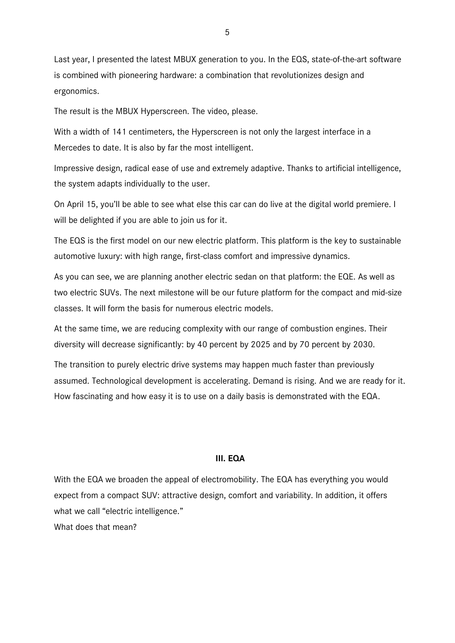Last year, I presented the latest MBUX generation to you. In the EQS, state-of-the-art software is combined with pioneering hardware: a combination that revolutionizes design and ergonomics.

The result is the MBUX Hyperscreen. The video, please.

With a width of 141 centimeters, the Hyperscreen is not only the largest interface in a Mercedes to date. It is also by far the most intelligent.

Impressive design, radical ease of use and extremely adaptive. Thanks to artificial intelligence, the system adapts individually to the user.

On April 15, you'll be able to see what else this car can do live at the digital world premiere. I will be delighted if you are able to join us for it.

The EQS is the first model on our new electric platform. This platform is the key to sustainable automotive luxury: with high range, first-class comfort and impressive dynamics.

As you can see, we are planning another electric sedan on that platform: the EQE. As well as two electric SUVs. The next milestone will be our future platform for the compact and mid-size classes. It will form the basis for numerous electric models.

At the same time, we are reducing complexity with our range of combustion engines. Their diversity will decrease significantly: by 40 percent by 2025 and by 70 percent by 2030.

The transition to purely electric drive systems may happen much faster than previously assumed. Technological development is accelerating. Demand is rising. And we are ready for it. How fascinating and how easy it is to use on a daily basis is demonstrated with the EQA.

# **III. EQA**

With the EQA we broaden the appeal of electromobility. The EQA has everything you would expect from a compact SUV: attractive design, comfort and variability. In addition, it offers what we call "electric intelligence." What does that mean?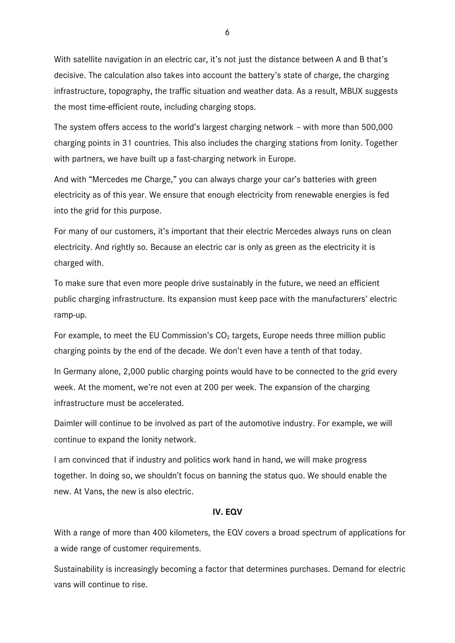With satellite navigation in an electric car, it's not just the distance between A and B that's decisive. The calculation also takes into account the battery's state of charge, the charging infrastructure, topography, the traffic situation and weather data. As a result, MBUX suggests the most time-efficient route, including charging stops.

The system offers access to the world's largest charging network – with more than 500,000 charging points in 31 countries. This also includes the charging stations from Ionity. Together with partners, we have built up a fast-charging network in Europe.

And with "Mercedes me Charge," you can always charge your car's batteries with green electricity as of this year. We ensure that enough electricity from renewable energies is fed into the grid for this purpose.

For many of our customers, it's important that their electric Mercedes always runs on clean electricity. And rightly so. Because an electric car is only as green as the electricity it is charged with.

To make sure that even more people drive sustainably in the future, we need an efficient public charging infrastructure. Its expansion must keep pace with the manufacturers' electric ramp-up.

For example, to meet the EU Commission's  $CO<sub>2</sub>$  targets, Europe needs three million public charging points by the end of the decade. We don't even have a tenth of that today.

In Germany alone, 2,000 public charging points would have to be connected to the grid every week. At the moment, we're not even at 200 per week. The expansion of the charging infrastructure must be accelerated.

Daimler will continue to be involved as part of the automotive industry. For example, we will continue to expand the Ionity network.

I am convinced that if industry and politics work hand in hand, we will make progress together. In doing so, we shouldn't focus on banning the status quo. We should enable the new. At Vans, the new is also electric.

#### **IV. EQV**

With a range of more than 400 kilometers, the EQV covers a broad spectrum of applications for a wide range of customer requirements.

Sustainability is increasingly becoming a factor that determines purchases. Demand for electric vans will continue to rise.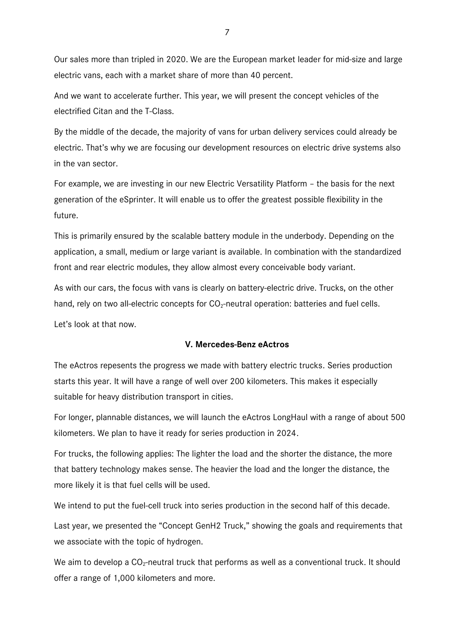Our sales more than tripled in 2020. We are the European market leader for mid-size and large electric vans, each with a market share of more than 40 percent.

And we want to accelerate further. This year, we will present the concept vehicles of the electrified Citan and the T-Class.

By the middle of the decade, the majority of vans for urban delivery services could already be electric. That's why we are focusing our development resources on electric drive systems also in the van sector.

For example, we are investing in our new Electric Versatility Platform – the basis for the next generation of the eSprinter. It will enable us to offer the greatest possible flexibility in the future.

This is primarily ensured by the scalable battery module in the underbody. Depending on the application, a small, medium or large variant is available. In combination with the standardized front and rear electric modules, they allow almost every conceivable body variant.

As with our cars, the focus with vans is clearly on battery-electric drive. Trucks, on the other hand, rely on two all-electric concepts for  $CO<sub>2</sub>$ -neutral operation: batteries and fuel cells.

Let's look at that now.

# **V. Mercedes-Benz eActros**

The eActros repesents the progress we made with battery electric trucks. Series production starts this year. It will have a range of well over 200 kilometers. This makes it especially suitable for heavy distribution transport in cities.

For longer, plannable distances, we will launch the eActros LongHaul with a range of about 500 kilometers. We plan to have it ready for series production in 2024.

For trucks, the following applies: The lighter the load and the shorter the distance, the more that battery technology makes sense. The heavier the load and the longer the distance, the more likely it is that fuel cells will be used.

We intend to put the fuel-cell truck into series production in the second half of this decade.

Last year, we presented the "Concept GenH2 Truck," showing the goals and requirements that we associate with the topic of hydrogen.

We aim to develop a  $CO<sub>2</sub>$ -neutral truck that performs as well as a conventional truck. It should offer a range of 1,000 kilometers and more.

7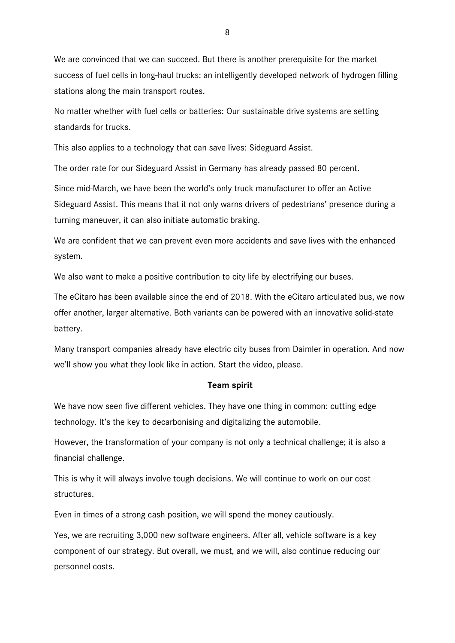We are convinced that we can succeed. But there is another prerequisite for the market success of fuel cells in long-haul trucks: an intelligently developed network of hydrogen filling stations along the main transport routes.

No matter whether with fuel cells or batteries: Our sustainable drive systems are setting standards for trucks.

This also applies to a technology that can save lives: Sideguard Assist.

The order rate for our Sideguard Assist in Germany has already passed 80 percent.

Since mid-March, we have been the world's only truck manufacturer to offer an Active Sideguard Assist. This means that it not only warns drivers of pedestrians' presence during a turning maneuver, it can also initiate automatic braking.

We are confident that we can prevent even more accidents and save lives with the enhanced system.

We also want to make a positive contribution to city life by electrifying our buses.

The eCitaro has been available since the end of 2018. With the eCitaro articulated bus, we now offer another, larger alternative. Both variants can be powered with an innovative solid-state battery.

Many transport companies already have electric city buses from Daimler in operation. And now we'll show you what they look like in action. Start the video, please.

# **Team spirit**

We have now seen five different vehicles. They have one thing in common: cutting edge technology. It's the key to decarbonising and digitalizing the automobile.

However, the transformation of your company is not only a technical challenge; it is also a financial challenge.

This is why it will always involve tough decisions. We will continue to work on our cost structures.

Even in times of a strong cash position, we will spend the money cautiously.

Yes, we are recruiting 3,000 new software engineers. After all, vehicle software is a key component of our strategy. But overall, we must, and we will, also continue reducing our personnel costs.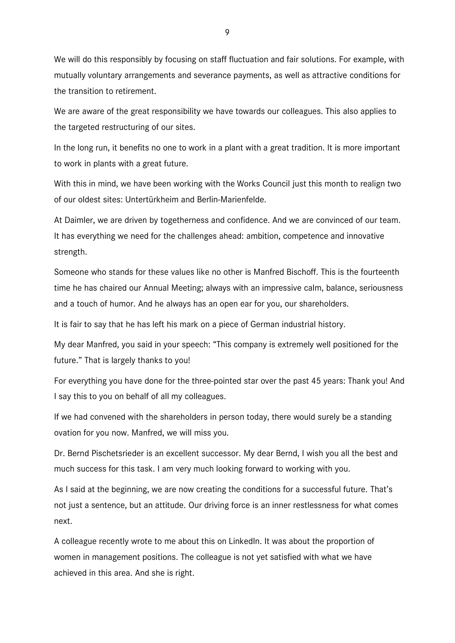We will do this responsibly by focusing on staff fluctuation and fair solutions. For example, with mutually voluntary arrangements and severance payments, as well as attractive conditions for the transition to retirement.

We are aware of the great responsibility we have towards our colleagues. This also applies to the targeted restructuring of our sites.

In the long run, it benefits no one to work in a plant with a great tradition. It is more important to work in plants with a great future.

With this in mind, we have been working with the Works Council just this month to realign two of our oldest sites: Untertürkheim and Berlin-Marienfelde.

At Daimler, we are driven by togetherness and confidence. And we are convinced of our team. It has everything we need for the challenges ahead: ambition, competence and innovative strength.

Someone who stands for these values like no other is Manfred Bischoff. This is the fourteenth time he has chaired our Annual Meeting; always with an impressive calm, balance, seriousness and a touch of humor. And he always has an open ear for you, our shareholders.

It is fair to say that he has left his mark on a piece of German industrial history.

My dear Manfred, you said in your speech: "This company is extremely well positioned for the future." That is largely thanks to you!

For everything you have done for the three-pointed star over the past 45 years: Thank you! And I say this to you on behalf of all my colleagues.

If we had convened with the shareholders in person today, there would surely be a standing ovation for you now. Manfred, we will miss you.

Dr. Bernd Pischetsrieder is an excellent successor. My dear Bernd, I wish you all the best and much success for this task. I am very much looking forward to working with you.

As I said at the beginning, we are now creating the conditions for a successful future. That's not just a sentence, but an attitude. Our driving force is an inner restlessness for what comes next.

A colleague recently wrote to me about this on LinkedIn. It was about the proportion of women in management positions. The colleague is not yet satisfied with what we have achieved in this area. And she is right.